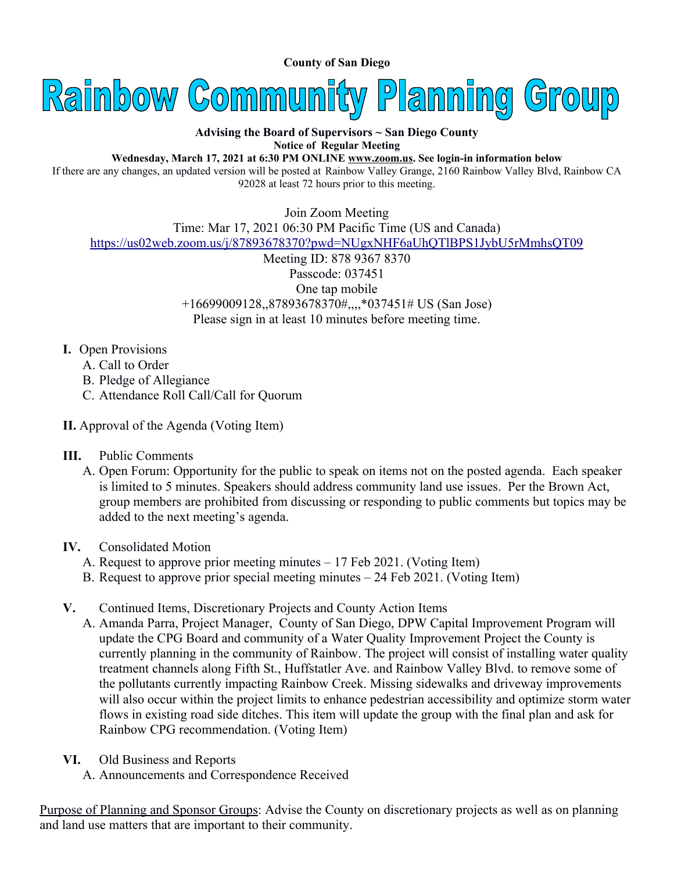**County of San Diego** 



## **Advising the Board of Supervisors ~ San Diego County Notice of Regular Meeting**

**Wednesday, March 17, 2021 at 6:30 PM ONLINE [www.zoom.us](http://www.zoom.us/). See login-in information below**

If there are any changes, an updated version will be posted at Rainbow Valley Grange, 2160 Rainbow Valley Blvd, Rainbow CA 92028 at least 72 hours prior to this meeting.

Join Zoom Meeting Time: Mar 17, 2021 06:30 PM Pacific Time (US and Canada) <https://us02web.zoom.us/j/87893678370?pwd=NUgxNHF6aUhQTlBPS1JybU5rMmhsQT09> Meeting ID: 878 9367 8370 Passcode: 037451 One tap mobile +16699009128,,87893678370#,,,,\*037451# US (San Jose) Please sign in at least 10 minutes before meeting time.

## **I.** Open Provisions

- A. Call to Order
- B. Pledge of Allegiance
- C. Attendance Roll Call/Call for Quorum
- **II.** Approval of the Agenda (Voting Item)
- **III.** Public Comments
	- A. Open Forum: Opportunity for the public to speak on items not on the posted agenda. Each speaker is limited to 5 minutes. Speakers should address community land use issues. Per the Brown Act, group members are prohibited from discussing or responding to public comments but topics may be added to the next meeting's agenda.

## **IV.** Consolidated Motion

- A. Request to approve prior meeting minutes 17 Feb 2021. (Voting Item)
- B. Request to approve prior special meeting minutes 24 Feb 2021. (Voting Item)
- **V.** Continued Items, Discretionary Projects and County Action Items
	- A. Amanda Parra, Project Manager, County of San Diego, DPW Capital Improvement Program will update the CPG Board and community of a Water Quality Improvement Project the County is currently planning in the community of Rainbow. The project will consist of installing water quality treatment channels along Fifth St., Huffstatler Ave. and Rainbow Valley Blvd. to remove some of the pollutants currently impacting Rainbow Creek. Missing sidewalks and driveway improvements will also occur within the project limits to enhance pedestrian accessibility and optimize storm water flows in existing road side ditches. This item will update the group with the final plan and ask for Rainbow CPG recommendation. (Voting Item)
- **VI.** Old Business and Reports
	- A. Announcements and Correspondence Received

Purpose of Planning and Sponsor Groups: Advise the County on discretionary projects as well as on planning and land use matters that are important to their community.